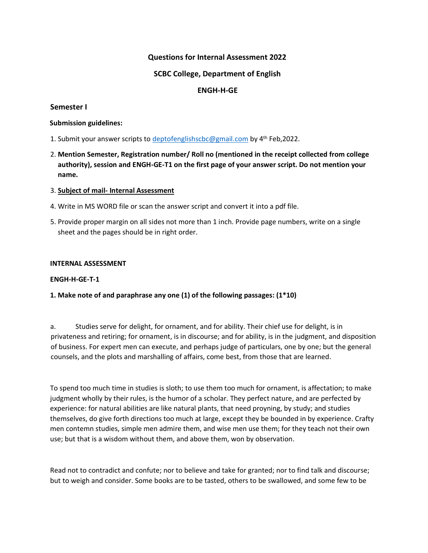# **Questions for Internal Assessment 2022**

## **SCBC College, Department of English**

# **ENGH-H-GE**

## **Semester I**

#### **Submission guidelines:**

- 1. Submit your answer scripts to deptofenglishscbc@gmail.com by 4<sup>th</sup> Feb,2022.
- 2. **Mention Semester, Registration number/ Roll no (mentioned in the receipt collected from college authority), session and ENGH-GE-T1 on the first page of your answer script. Do not mention your name.**

## 3. **Subject of mail- Internal Assessment**

- 4. Write in MS WORD file or scan the answer script and convert it into a pdf file.
- 5. Provide proper margin on all sides not more than 1 inch. Provide page numbers, write on a single sheet and the pages should be in right order.

#### **INTERNAL ASSESSMENT**

#### **ENGH-H-GE-T-1**

## **1. Make note of and paraphrase any one (1) of the following passages: (1\*10)**

a. Studies serve for delight, for ornament, and for ability. Their chief use for delight, is in privateness and retiring; for ornament, is in discourse; and for ability, is in the judgment, and disposition of business. For expert men can execute, and perhaps judge of particulars, one by one; but the general counsels, and the plots and marshalling of affairs, come best, from those that are learned.

To spend too much time in studies is sloth; to use them too much for ornament, is affectation; to make judgment wholly by their rules, is the humor of a scholar. They perfect nature, and are perfected by experience: for natural abilities are like natural plants, that need proyning, by study; and studies themselves, do give forth directions too much at large, except they be bounded in by experience. Crafty men contemn studies, simple men admire them, and wise men use them; for they teach not their own use; but that is a wisdom without them, and above them, won by observation.

Read not to contradict and confute; nor to believe and take for granted; nor to find talk and discourse; but to weigh and consider. Some books are to be tasted, others to be swallowed, and some few to be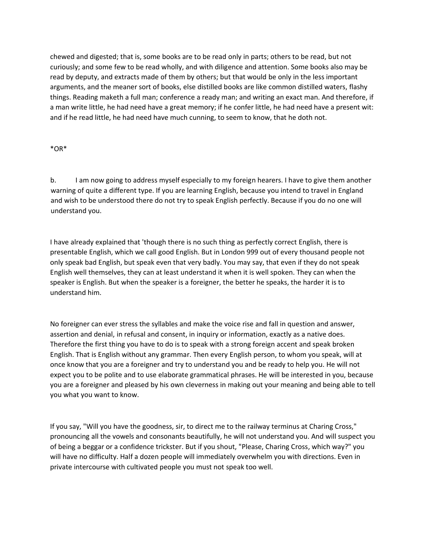chewed and digested; that is, some books are to be read only in parts; others to be read, but not curiously; and some few to be read wholly, and with diligence and attention. Some books also may be read by deputy, and extracts made of them by others; but that would be only in the less important arguments, and the meaner sort of books, else distilled books are like common distilled waters, flashy things. Reading maketh a full man; conference a ready man; and writing an exact man. And therefore, if a man write little, he had need have a great memory; if he confer little, he had need have a present wit: and if he read little, he had need have much cunning, to seem to know, that he doth not.

#### \*OR\*

b. I am now going to address myself especially to my foreign hearers. I have to give them another warning of quite a different type. If you are learning English, because you intend to travel in England and wish to be understood there do not try to speak English perfectly. Because if you do no one will understand you.

I have already explained that 'though there is no such thing as perfectly correct English, there is presentable English, which we call good English. But in London 999 out of every thousand people not only speak bad English, but speak even that very badly. You may say, that even if they do not speak English well themselves, they can at least understand it when it is well spoken. They can when the speaker is English. But when the speaker is a foreigner, the better he speaks, the harder it is to understand him.

No foreigner can ever stress the syllables and make the voice rise and fall in question and answer, assertion and denial, in refusal and consent, in inquiry or information, exactly as a native does. Therefore the first thing you have to do is to speak with a strong foreign accent and speak broken English. That is English without any grammar. Then every English person, to whom you speak, will at once know that you are a foreigner and try to understand you and be ready to help you. He will not expect you to be polite and to use elaborate grammatical phrases. He will be interested in you, because you are a foreigner and pleased by his own cleverness in making out your meaning and being able to tell you what you want to know.

If you say, "Will you have the goodness, sir, to direct me to the railway terminus at Charing Cross," pronouncing all the vowels and consonants beautifully, he will not understand you. And will suspect you of being a beggar or a confidence trickster. But if you shout, "Please, Charing Cross, which way?" you will have no difficulty. Half a dozen people will immediately overwhelm you with directions. Even in private intercourse with cultivated people you must not speak too well.